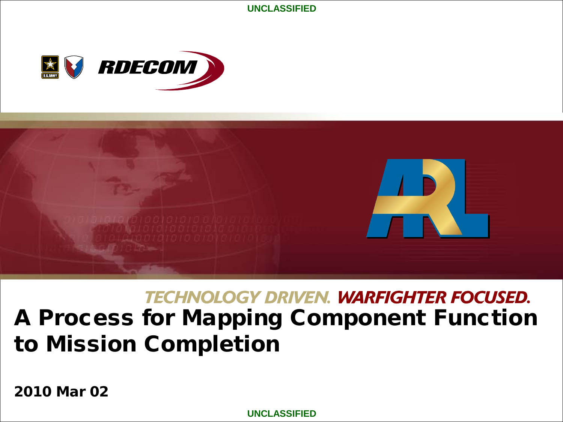**UNCLASSIFIED**





# **TECHNOLOGY DRIVEN. WARFIGHTER FOCUSED.** A Process for Mapping Component Function to Mission Completion

2010 Mar 02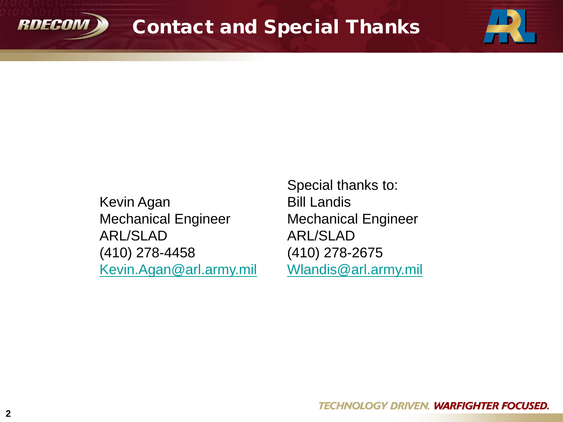



Special thanks to: Bill Landis Mechanical Engineer ARL/SLAD (410) 278-2675 [Wlandis@arl.army.mil](mailto:Wlandis@arl.army.mil)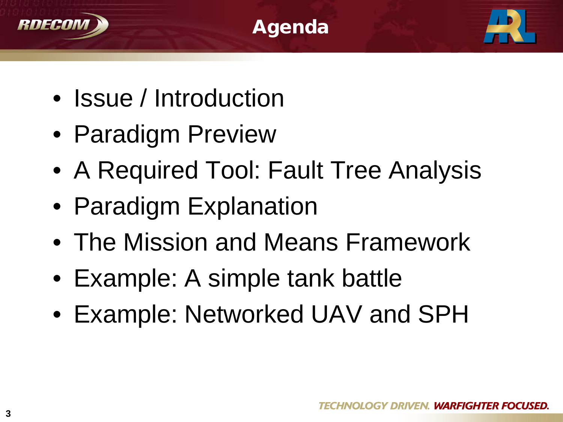





- Issue / Introduction
- Paradigm Preview
- A Required Tool: Fault Tree Analysis
- Paradigm Explanation
- The Mission and Means Framework
- Example: A simple tank battle
- Example: Networked UAV and SPH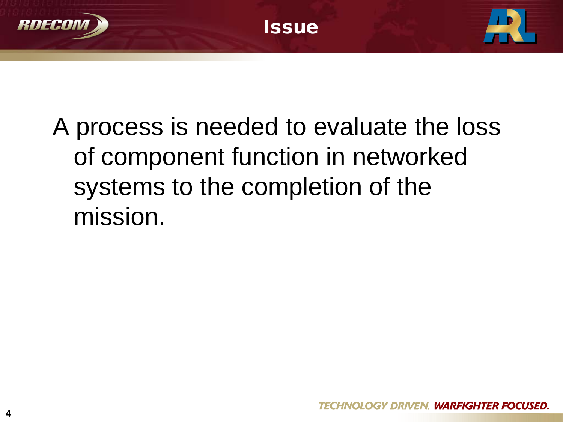

# A process is needed to evaluate the loss of component function in networked systems to the completion of the mission.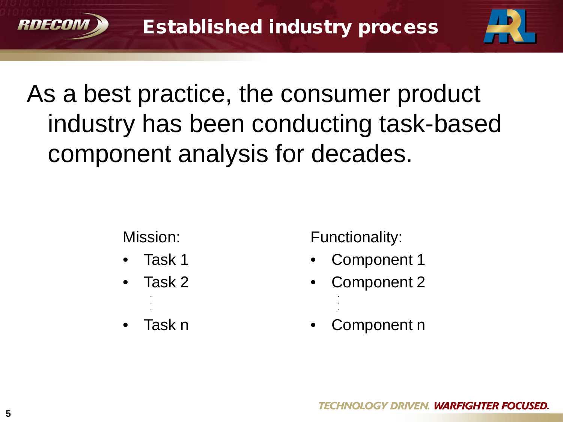

# As a best practice, the consumer product industry has been conducting task-based component analysis for decades.

Mission:

- Task 1
- Task 2 **. .**

• Task n

**.**

Functionality:

**. .**

- Component 1
- Component 2 **.**
- Component n

HNOLOGY DRIVEN. **WARFIGHTER FOCUSED.** 

RDECO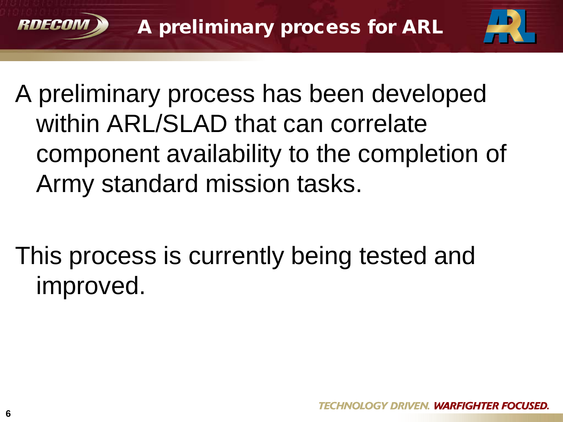



A preliminary process has been developed within ARL/SLAD that can correlate component availability to the completion of Army standard mission tasks.

This process is currently being tested and improved.

RNECO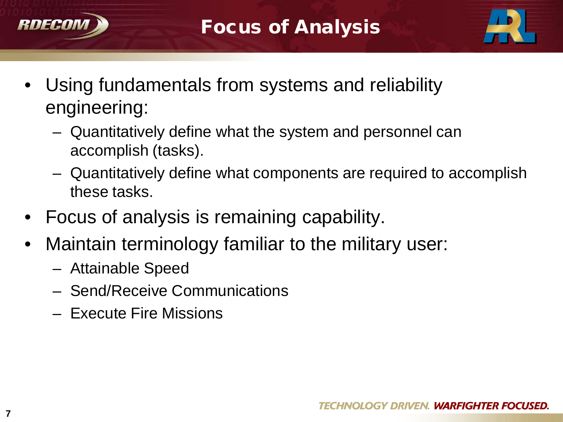



- Using fundamentals from systems and reliability engineering:
	- Quantitatively define what the system and personnel can accomplish (tasks).
	- Quantitatively define what components are required to accomplish these tasks.
- Focus of analysis is remaining capability.
- Maintain terminology familiar to the military user:
	- Attainable Speed
	- Send/Receive Communications
	- Execute Fire Missions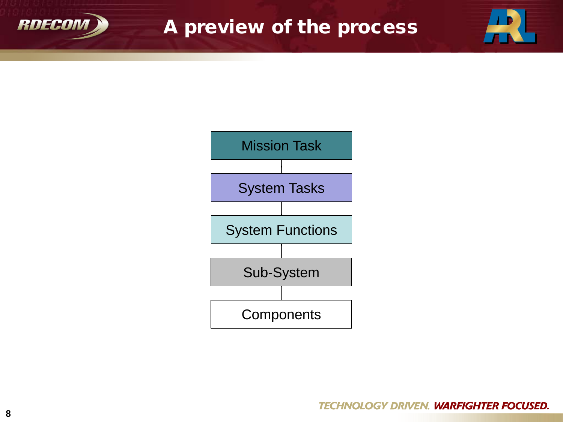

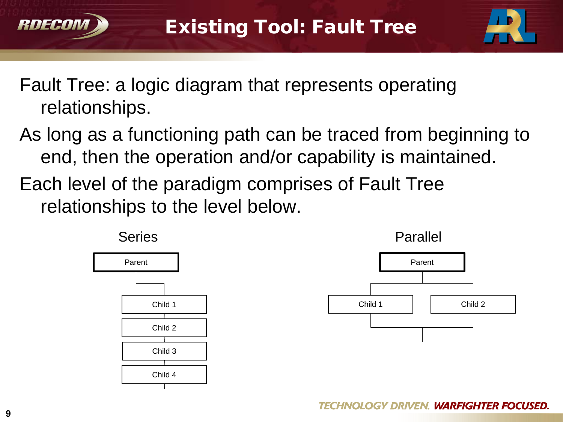



- Fault Tree: a logic diagram that represents operating relationships.
- As long as a functioning path can be traced from beginning to end, then the operation and/or capability is maintained.
- Each level of the paradigm comprises of Fault Tree relationships to the level below.



**TECHNOLOGY DRIVEN. WARFIGHTER FOCUSED.** 

RNECO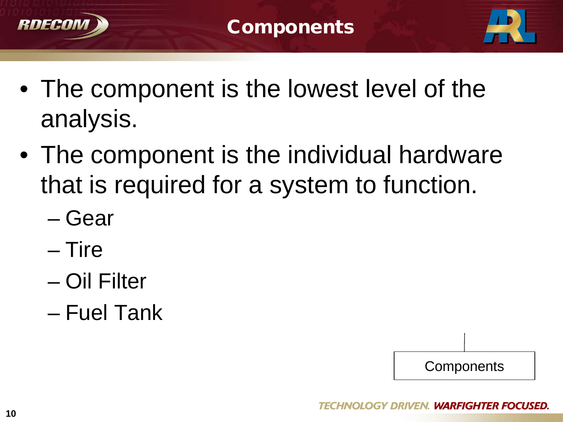



- The component is the lowest level of the analysis.
- The component is the individual hardware that is required for a system to function.
	- Gear
	- Tire
	- Oil Filter
	- Fuel Tank

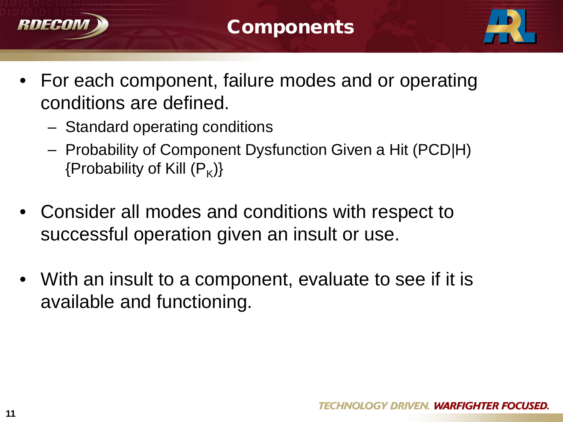



- For each component, failure modes and or operating conditions are defined.
	- Standard operating conditions
	- Probability of Component Dysfunction Given a Hit (PCD|H) {Probability of Kill  $(P_k)$ }
- Consider all modes and conditions with respect to successful operation given an insult or use.
- With an insult to a component, evaluate to see if it is available and functioning.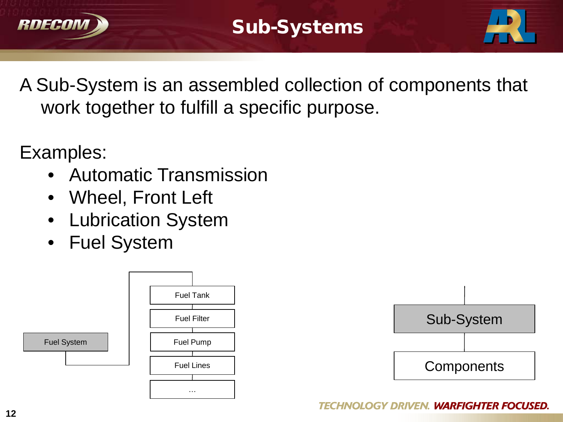



A Sub-System is an assembled collection of components that work together to fulfill a specific purpose.

Examples:

- Automatic Transmission
- Wheel, Front Left
- Lubrication System
- Fuel System



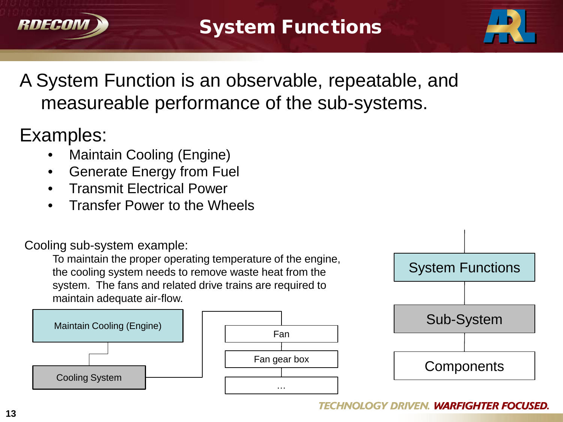



# A System Function is an observable, repeatable, and measureable performance of the sub-systems.

# Examples:

- Maintain Cooling (Engine)
- Generate Energy from Fuel
- Transmit Electrical Power
- Transfer Power to the Wheels

#### Cooling sub-system example:

To maintain the proper operating temperature of the engine, the cooling system needs to remove waste heat from the system. The fans and related drive trains are required to maintain adequate air-flow.



#### **TECHNOLOGY DRIVEN. WARFIGHTER FOCUSED.**

System Functions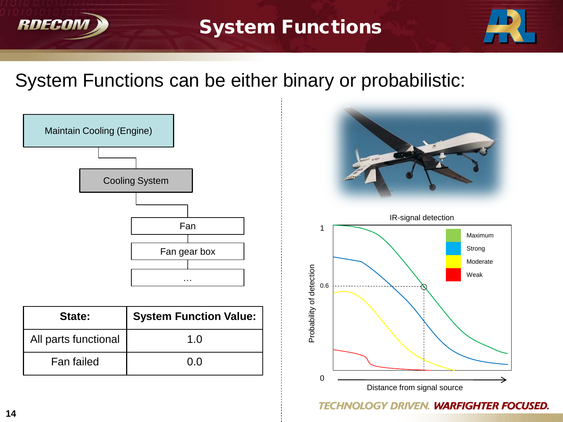

### System Functions



### System Functions can be either binary or probabilistic:



| State:               | <b>System Function Value:</b> |
|----------------------|-------------------------------|
| All parts functional | 1.0                           |
| Fan failed           | 0.O                           |



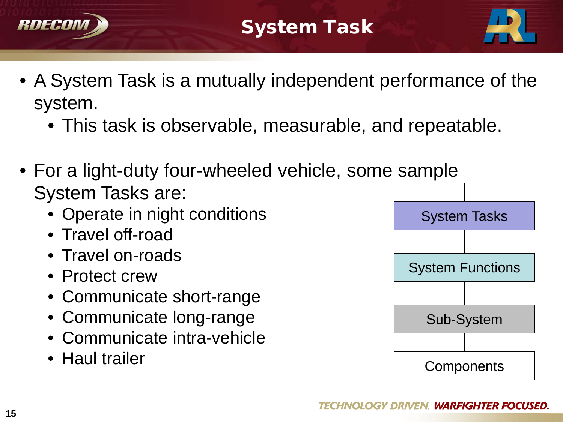



- A System Task is a mutually independent performance of the system.
	- This task is observable, measurable, and repeatable.
- For a light-duty four-wheeled vehicle, some sample System Tasks are:
	- Operate in night conditions
	- Travel off-road
	- Travel on-roads
	- Protect crew
	- Communicate short-range
	- Communicate long-range
	- Communicate intra-vehicle
	- Haul trailer

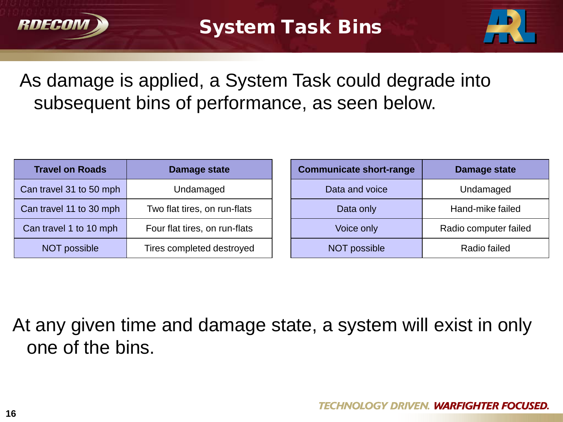



# As damage is applied, a System Task could degrade into subsequent bins of performance, as seen below.

| <b>Travel on Roads</b>  | Damage state                  |
|-------------------------|-------------------------------|
| Can travel 31 to 50 mph | Undamaged                     |
| Can travel 11 to 30 mph | Two flat tires, on run-flats  |
| Can travel 1 to 10 mph  | Four flat tires, on run-flats |
| <b>NOT possible</b>     | Tires completed destroyed     |

| <b>Communicate short-range</b> | Damage state          |
|--------------------------------|-----------------------|
| Data and voice                 | Undamaged             |
| Data only                      | Hand-mike failed      |
| Voice only                     | Radio computer failed |
| <b>NOT possible</b>            | Radio failed          |

At any given time and damage state, a system will exist in only one of the bins.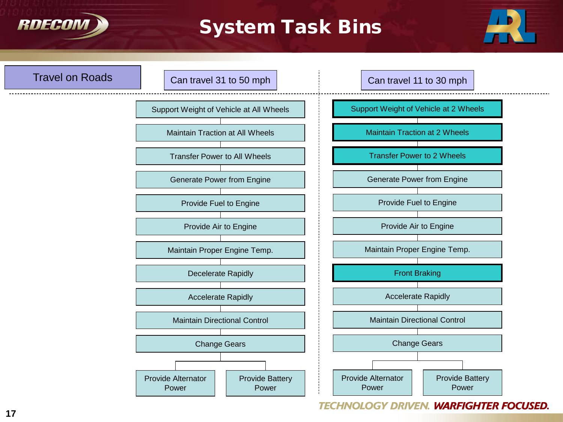

### System Task Bins



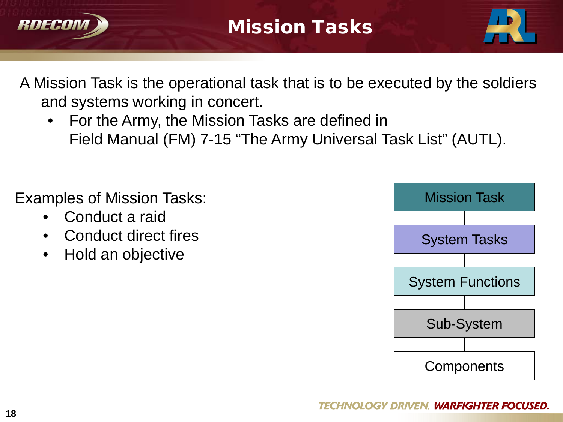



A Mission Task is the operational task that is to be executed by the soldiers and systems working in concert.

• For the Army, the Mission Tasks are defined in Field Manual (FM) 7-15 "The Army Universal Task List" (AUTL).

Examples of Mission Tasks:

- Conduct a raid
- Conduct direct fires
- Hold an objective

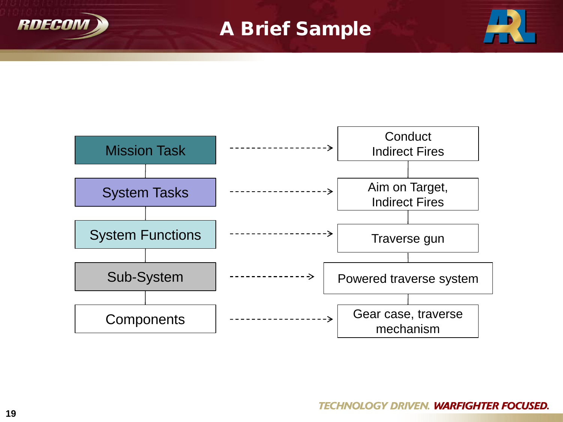



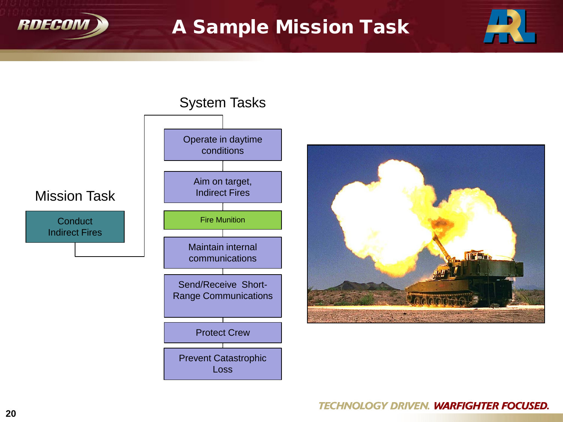

### A Sample Mission Task



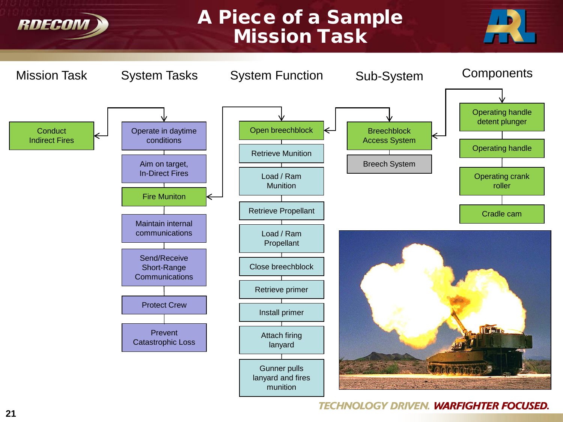### A Piece of a Sample Mission Task





#### **TECHNOLOGY DRIVEN. WARFIGHTER FOCUSED.**

RDECOM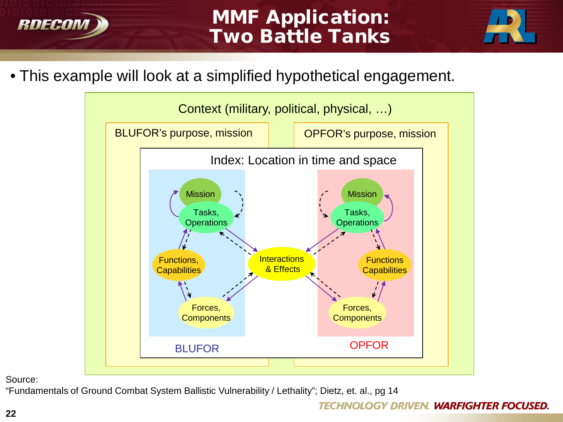



• This example will look at a simplified hypothetical engagement.



Source:

"Fundamentals of Ground Combat System Ballistic Vulnerability / Lethality"; Dietz, et. al., pg 14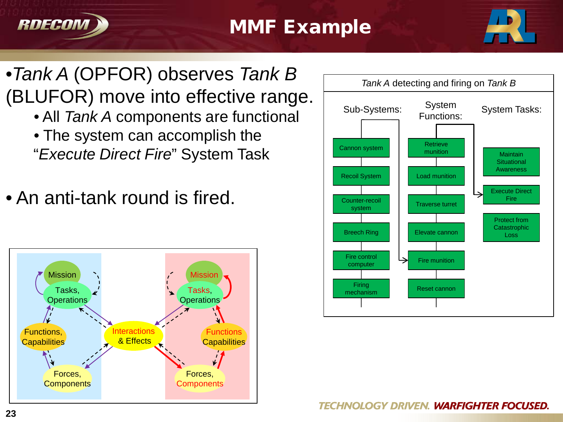



# •*Tank A* (OPFOR) observes *Tank B*  (BLUFOR) move into effective range.

- All *Tank A* components are functional
- The system can accomplish the "*Execute Direct Fire*" System Task
- An anti-tank round is fired.



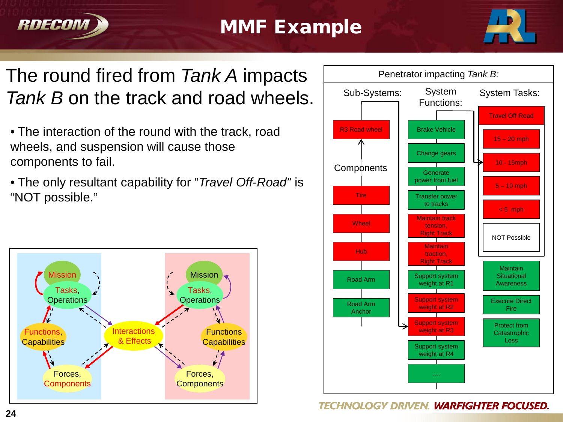



### The round fired from *Tank A* impacts *Tank B* on the track and road wheels.  $\vert$  sub-Systems:

- The interaction of the round with the track, road wheels, and suspension will cause those components to fail.
- The only resultant capability for "*Travel Off-Road"* is "NOT possible."



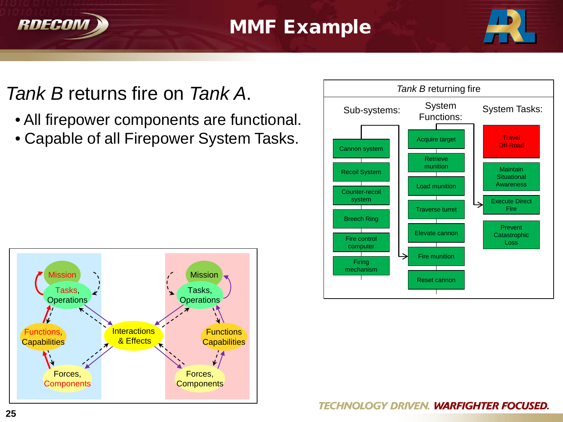



# *Tank B* returns fire on *Tank A*.

- All firepower components are functional.
- Capable of all Firepower System Tasks.



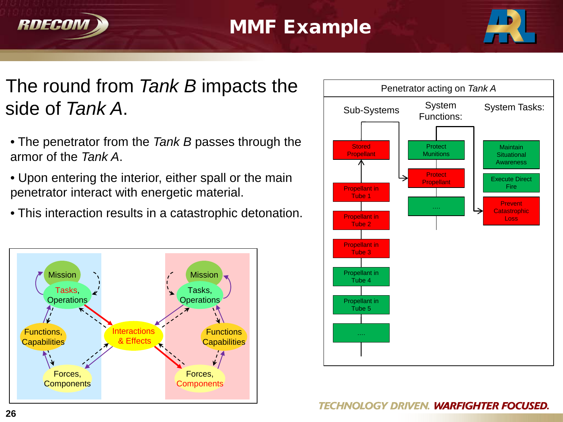



### The round from *Tank B* impacts the side of *Tank A*.

- The penetrator from the *Tank B* passes through the armor of the *Tank A*.
- Upon entering the interior, either spall or the main penetrator interact with energetic material.
- This interaction results in a catastrophic detonation.



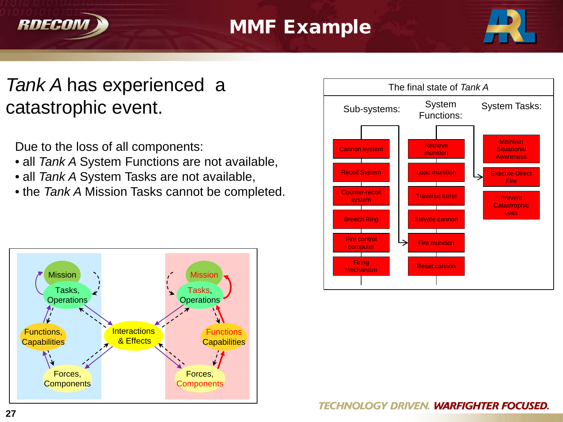



# *Tank A* has experienced a catastrophic event.

Due to the loss of all components:

- all *Tank A* System Functions are not available,
- all *Tank A* System Tasks are not available,
- the *Tank A* Mission Tasks cannot be completed.



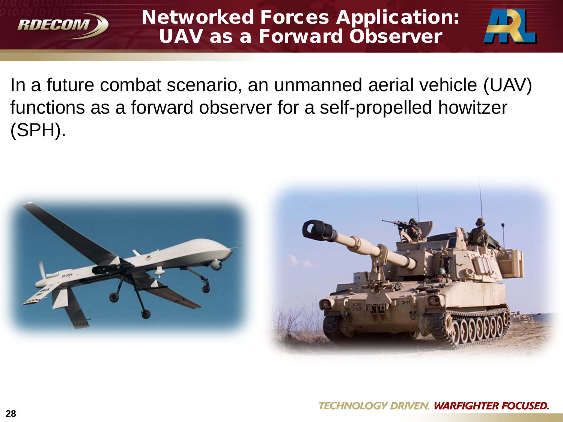



In a future combat scenario, an unmanned aerial vehicle (UAV) functions as a forward observer for a self-propelled howitzer (SPH).

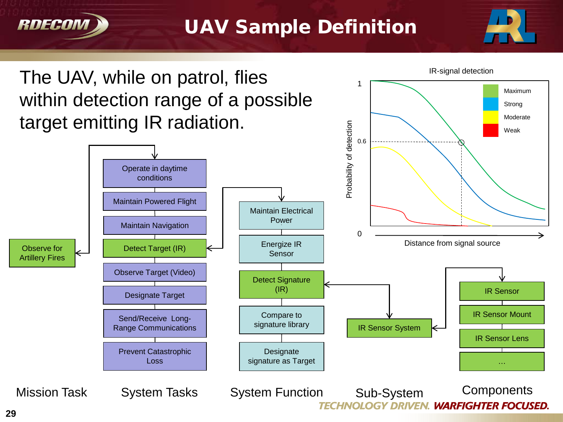

### UAV Sample Definition

1



Maximum Strong Moderate

# The UAV, while on patrol, flies  $\frac{1}{1}$ within detection range of a possible target emitting IR radiation.

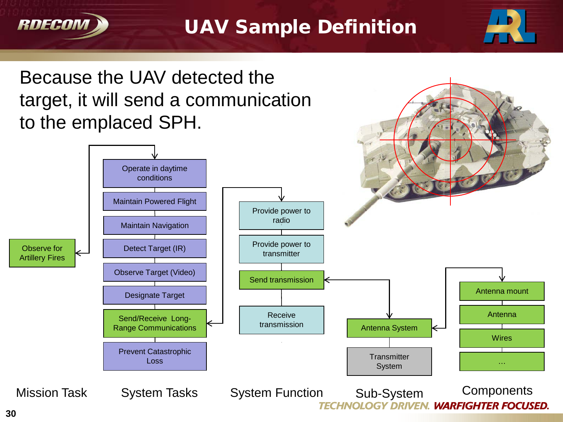

### UAV Sample Definition



Because the UAV detected the target, it will send a communication to the emplaced SPH.

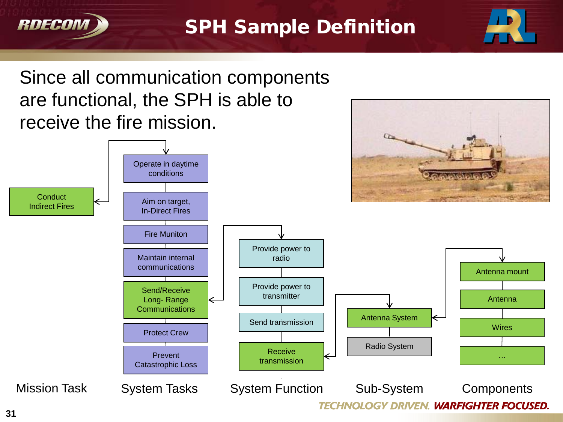



# Since all communication components are functional, the SPH is able to receive the fire mission.



RDECOM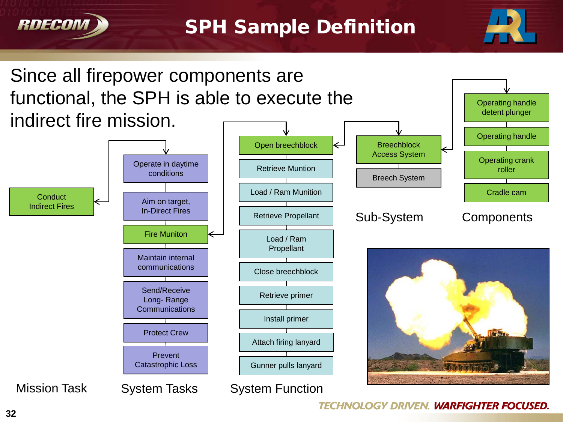

#### SPH Sample Definition



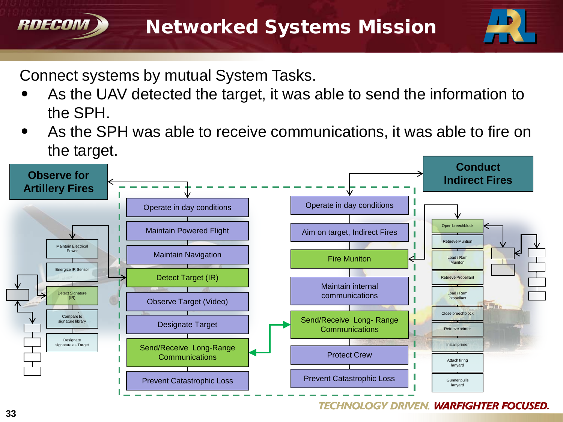

Connect systems by mutual System Tasks.

- As the UAV detected the target, it was able to send the information to the SPH.
- As the SPH was able to receive communications, it was able to fire on the target.



#### **TECHNOLOGY DRIVEN. WARFIGHTER FOCUSED.**

**RDECOM**